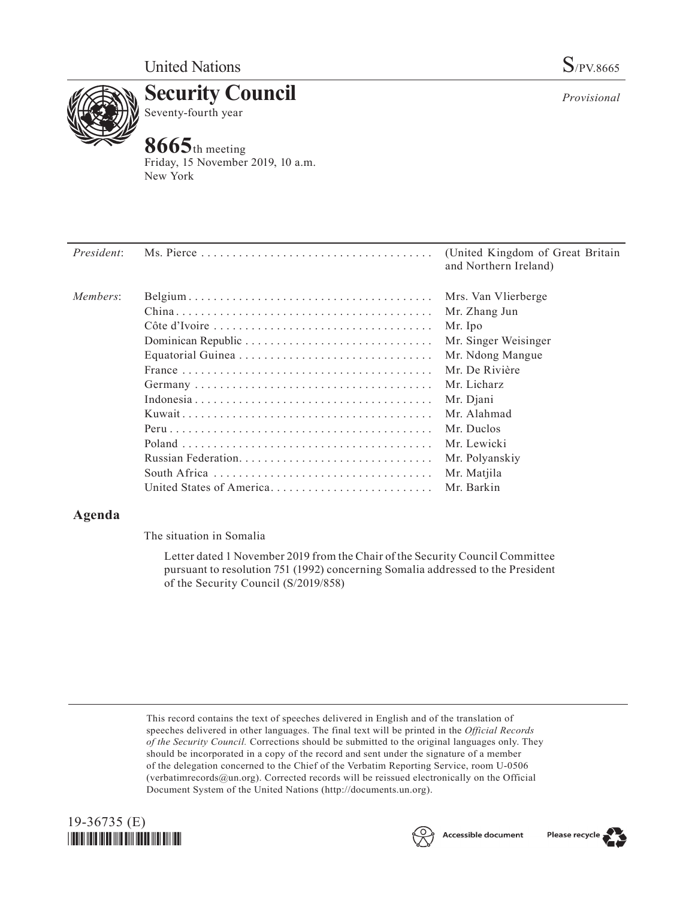

**Security Council** Seventy-fourth year

# **8665**th meeting

Friday, 15 November 2019, 10 a.m. New York

| <i>President:</i> |                          | (United Kingdom of Great Britain)<br>and Northern Ireland) |
|-------------------|--------------------------|------------------------------------------------------------|
| Members:          |                          | Mrs. Van Vlierberge                                        |
|                   |                          | Mr. Zhang Jun                                              |
|                   |                          | Mr. Ipo                                                    |
|                   |                          | Mr. Singer Weisinger                                       |
|                   |                          | Mr. Ndong Mangue                                           |
|                   |                          | Mr. De Rivière                                             |
|                   |                          | Mr. Licharz                                                |
|                   |                          | Mr. Djani                                                  |
|                   |                          | Mr. Alahmad                                                |
|                   |                          | Mr. Duclos                                                 |
|                   |                          | Mr. Lewicki                                                |
|                   |                          | Mr. Polyanskiy                                             |
|                   |                          | Mr. Matjila                                                |
|                   | United States of America | Mr. Barkin                                                 |

## **Agenda**

The situation in Somalia

Letter dated 1 November 2019 from the Chair of the Security Council Committee pursuant to resolution 751 (1992) concerning Somalia addressed to the President of the Security Council (S/2019/858)

This record contains the text of speeches delivered in English and of the translation of speeches delivered in other languages. The final text will be printed in the *Official Records of the Security Council.* Corrections should be submitted to the original languages only. They should be incorporated in a copy of the record and sent under the signature of a member of the delegation concerned to the Chief of the Verbatim Reporting Service, room U-0506 (verbatimrecords $@un.org$ ). Corrected records will be reissued electronically on the Official Document System of the United Nations (http://documents.un.org).







*Provisional*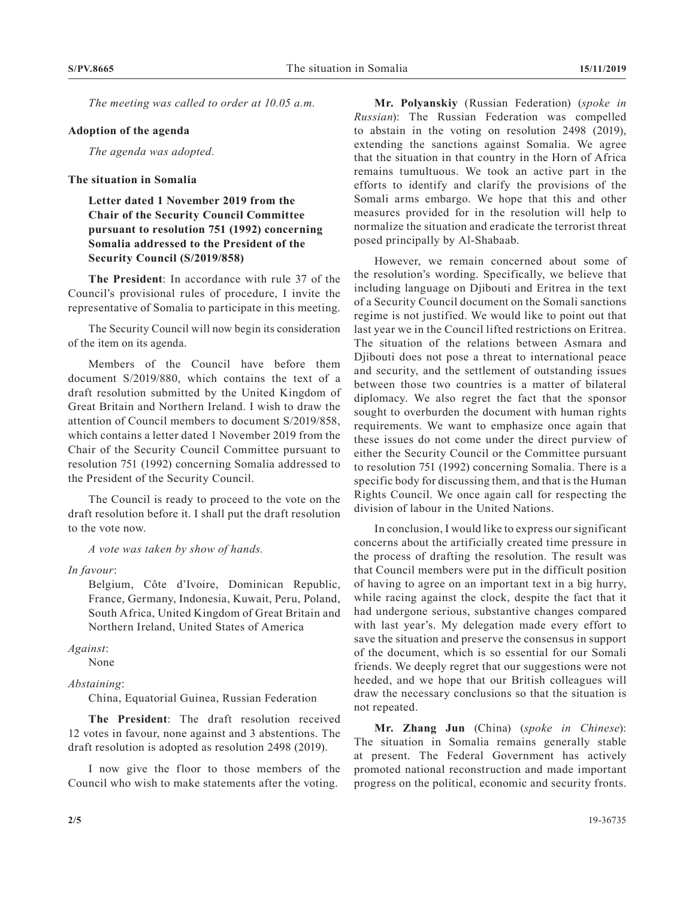*The meeting was called to order at 10.05 a.m.*

#### **Adoption of the agenda**

*The agenda was adopted.*

### **The situation in Somalia**

**Letter dated 1 November 2019 from the Chair of the Security Council Committee pursuant to resolution 751 (1992) concerning Somalia addressed to the President of the Security Council (S/2019/858)**

**The President**: In accordance with rule 37 of the Council's provisional rules of procedure, I invite the representative of Somalia to participate in this meeting.

The Security Council will now begin its consideration of the item on its agenda.

Members of the Council have before them document S/2019/880, which contains the text of a draft resolution submitted by the United Kingdom of Great Britain and Northern Ireland. I wish to draw the attention of Council members to document S/2019/858, which contains a letter dated 1 November 2019 from the Chair of the Security Council Committee pursuant to resolution 751 (1992) concerning Somalia addressed to the President of the Security Council.

The Council is ready to proceed to the vote on the draft resolution before it. I shall put the draft resolution to the vote now.

*A vote was taken by show of hands.*

*In favour*:

Belgium, Côte d'Ivoire, Dominican Republic, France, Germany, Indonesia, Kuwait, Peru, Poland, South Africa, United Kingdom of Great Britain and Northern Ireland, United States of America

*Against*:

None

#### *Abstaining*:

China, Equatorial Guinea, Russian Federation

**The President**: The draft resolution received 12 votes in favour, none against and 3 abstentions. The draft resolution is adopted as resolution 2498 (2019).

I now give the floor to those members of the Council who wish to make statements after the voting.

**Mr. Polyanskiy** (Russian Federation) (*spoke in Russian*): The Russian Federation was compelled to abstain in the voting on resolution 2498 (2019), extending the sanctions against Somalia. We agree that the situation in that country in the Horn of Africa remains tumultuous. We took an active part in the efforts to identify and clarify the provisions of the Somali arms embargo. We hope that this and other measures provided for in the resolution will help to normalize the situation and eradicate the terrorist threat posed principally by Al-Shabaab.

However, we remain concerned about some of the resolution's wording. Specifically, we believe that including language on Djibouti and Eritrea in the text of a Security Council document on the Somali sanctions regime is not justified. We would like to point out that last year we in the Council lifted restrictions on Eritrea. The situation of the relations between Asmara and Djibouti does not pose a threat to international peace and security, and the settlement of outstanding issues between those two countries is a matter of bilateral diplomacy. We also regret the fact that the sponsor sought to overburden the document with human rights requirements. We want to emphasize once again that these issues do not come under the direct purview of either the Security Council or the Committee pursuant to resolution 751 (1992) concerning Somalia. There is a specific body for discussing them, and that is the Human Rights Council. We once again call for respecting the division of labour in the United Nations.

In conclusion, I would like to express our significant concerns about the artificially created time pressure in the process of drafting the resolution. The result was that Council members were put in the difficult position of having to agree on an important text in a big hurry, while racing against the clock, despite the fact that it had undergone serious, substantive changes compared with last year's. My delegation made every effort to save the situation and preserve the consensus in support of the document, which is so essential for our Somali friends. We deeply regret that our suggestions were not heeded, and we hope that our British colleagues will draw the necessary conclusions so that the situation is not repeated.

**Mr. Zhang Jun** (China) (*spoke in Chinese*): The situation in Somalia remains generally stable at present. The Federal Government has actively promoted national reconstruction and made important progress on the political, economic and security fronts.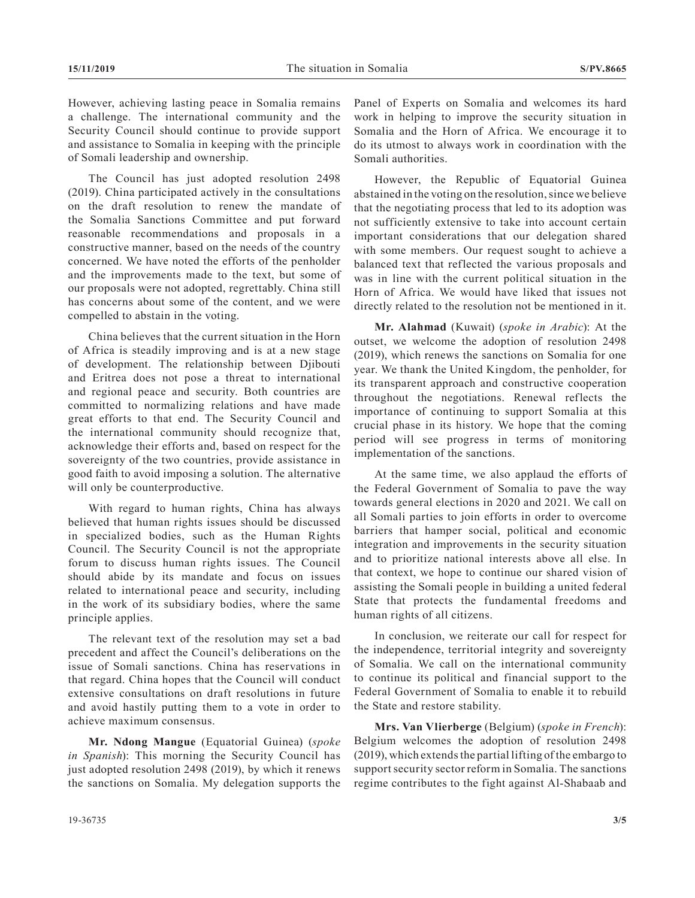However, achieving lasting peace in Somalia remains a challenge. The international community and the Security Council should continue to provide support and assistance to Somalia in keeping with the principle of Somali leadership and ownership.

The Council has just adopted resolution 2498 (2019). China participated actively in the consultations on the draft resolution to renew the mandate of the Somalia Sanctions Committee and put forward reasonable recommendations and proposals in a constructive manner, based on the needs of the country concerned. We have noted the efforts of the penholder and the improvements made to the text, but some of our proposals were not adopted, regrettably. China still has concerns about some of the content, and we were compelled to abstain in the voting.

China believes that the current situation in the Horn of Africa is steadily improving and is at a new stage of development. The relationship between Djibouti and Eritrea does not pose a threat to international and regional peace and security. Both countries are committed to normalizing relations and have made great efforts to that end. The Security Council and the international community should recognize that, acknowledge their efforts and, based on respect for the sovereignty of the two countries, provide assistance in good faith to avoid imposing a solution. The alternative will only be counterproductive.

With regard to human rights, China has always believed that human rights issues should be discussed in specialized bodies, such as the Human Rights Council. The Security Council is not the appropriate forum to discuss human rights issues. The Council should abide by its mandate and focus on issues related to international peace and security, including in the work of its subsidiary bodies, where the same principle applies.

The relevant text of the resolution may set a bad precedent and affect the Council's deliberations on the issue of Somali sanctions. China has reservations in that regard. China hopes that the Council will conduct extensive consultations on draft resolutions in future and avoid hastily putting them to a vote in order to achieve maximum consensus.

**Mr. Ndong Mangue** (Equatorial Guinea) (*spoke in Spanish*): This morning the Security Council has just adopted resolution 2498 (2019), by which it renews the sanctions on Somalia. My delegation supports the Panel of Experts on Somalia and welcomes its hard work in helping to improve the security situation in Somalia and the Horn of Africa. We encourage it to do its utmost to always work in coordination with the Somali authorities.

However, the Republic of Equatorial Guinea abstained in the voting on the resolution, since we believe that the negotiating process that led to its adoption was not sufficiently extensive to take into account certain important considerations that our delegation shared with some members. Our request sought to achieve a balanced text that reflected the various proposals and was in line with the current political situation in the Horn of Africa. We would have liked that issues not directly related to the resolution not be mentioned in it.

**Mr. Alahmad** (Kuwait) (*spoke in Arabic*): At the outset, we welcome the adoption of resolution 2498 (2019), which renews the sanctions on Somalia for one year. We thank the United Kingdom, the penholder, for its transparent approach and constructive cooperation throughout the negotiations. Renewal reflects the importance of continuing to support Somalia at this crucial phase in its history. We hope that the coming period will see progress in terms of monitoring implementation of the sanctions.

At the same time, we also applaud the efforts of the Federal Government of Somalia to pave the way towards general elections in 2020 and 2021. We call on all Somali parties to join efforts in order to overcome barriers that hamper social, political and economic integration and improvements in the security situation and to prioritize national interests above all else. In that context, we hope to continue our shared vision of assisting the Somali people in building a united federal State that protects the fundamental freedoms and human rights of all citizens.

In conclusion, we reiterate our call for respect for the independence, territorial integrity and sovereignty of Somalia. We call on the international community to continue its political and financial support to the Federal Government of Somalia to enable it to rebuild the State and restore stability.

**Mrs. Van Vlierberge** (Belgium) (*spoke in French*): Belgium welcomes the adoption of resolution 2498 (2019), which extends the partial lifting of the embargo to support security sector reform in Somalia. The sanctions regime contributes to the fight against Al-Shabaab and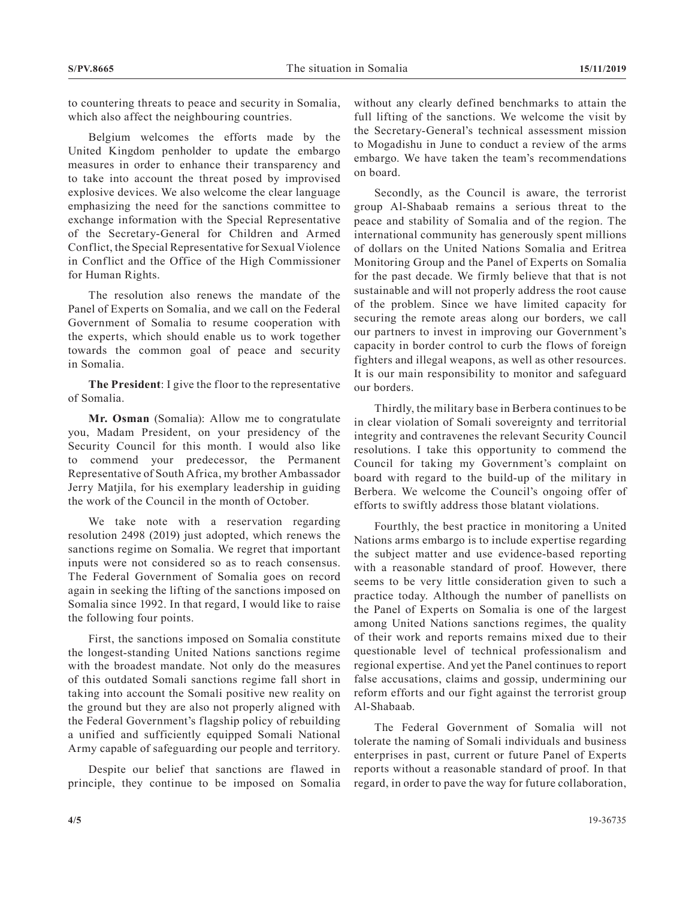to countering threats to peace and security in Somalia, which also affect the neighbouring countries.

Belgium welcomes the efforts made by the United Kingdom penholder to update the embargo measures in order to enhance their transparency and to take into account the threat posed by improvised explosive devices. We also welcome the clear language emphasizing the need for the sanctions committee to exchange information with the Special Representative of the Secretary-General for Children and Armed Conflict, the Special Representative for Sexual Violence in Conflict and the Office of the High Commissioner for Human Rights.

The resolution also renews the mandate of the Panel of Experts on Somalia, and we call on the Federal Government of Somalia to resume cooperation with the experts, which should enable us to work together towards the common goal of peace and security in Somalia.

**The President**: I give the floor to the representative of Somalia.

**Mr. Osman** (Somalia): Allow me to congratulate you, Madam President, on your presidency of the Security Council for this month. I would also like to commend your predecessor, the Permanent Representative of South Africa, my brother Ambassador Jerry Matjila, for his exemplary leadership in guiding the work of the Council in the month of October.

We take note with a reservation regarding resolution 2498 (2019) just adopted, which renews the sanctions regime on Somalia. We regret that important inputs were not considered so as to reach consensus. The Federal Government of Somalia goes on record again in seeking the lifting of the sanctions imposed on Somalia since 1992. In that regard, I would like to raise the following four points.

First, the sanctions imposed on Somalia constitute the longest-standing United Nations sanctions regime with the broadest mandate. Not only do the measures of this outdated Somali sanctions regime fall short in taking into account the Somali positive new reality on the ground but they are also not properly aligned with the Federal Government's flagship policy of rebuilding a unified and sufficiently equipped Somali National Army capable of safeguarding our people and territory.

Despite our belief that sanctions are flawed in principle, they continue to be imposed on Somalia without any clearly defined benchmarks to attain the full lifting of the sanctions. We welcome the visit by the Secretary-General's technical assessment mission to Mogadishu in June to conduct a review of the arms embargo. We have taken the team's recommendations on board.

Secondly, as the Council is aware, the terrorist group Al-Shabaab remains a serious threat to the peace and stability of Somalia and of the region. The international community has generously spent millions of dollars on the United Nations Somalia and Eritrea Monitoring Group and the Panel of Experts on Somalia for the past decade. We firmly believe that that is not sustainable and will not properly address the root cause of the problem. Since we have limited capacity for securing the remote areas along our borders, we call our partners to invest in improving our Government's capacity in border control to curb the flows of foreign fighters and illegal weapons, as well as other resources. It is our main responsibility to monitor and safeguard our borders.

Thirdly, the military base in Berbera continues to be in clear violation of Somali sovereignty and territorial integrity and contravenes the relevant Security Council resolutions. I take this opportunity to commend the Council for taking my Government's complaint on board with regard to the build-up of the military in Berbera. We welcome the Council's ongoing offer of efforts to swiftly address those blatant violations.

Fourthly, the best practice in monitoring a United Nations arms embargo is to include expertise regarding the subject matter and use evidence-based reporting with a reasonable standard of proof. However, there seems to be very little consideration given to such a practice today. Although the number of panellists on the Panel of Experts on Somalia is one of the largest among United Nations sanctions regimes, the quality of their work and reports remains mixed due to their questionable level of technical professionalism and regional expertise. And yet the Panel continues to report false accusations, claims and gossip, undermining our reform efforts and our fight against the terrorist group Al-Shabaab.

The Federal Government of Somalia will not tolerate the naming of Somali individuals and business enterprises in past, current or future Panel of Experts reports without a reasonable standard of proof. In that regard, in order to pave the way for future collaboration,